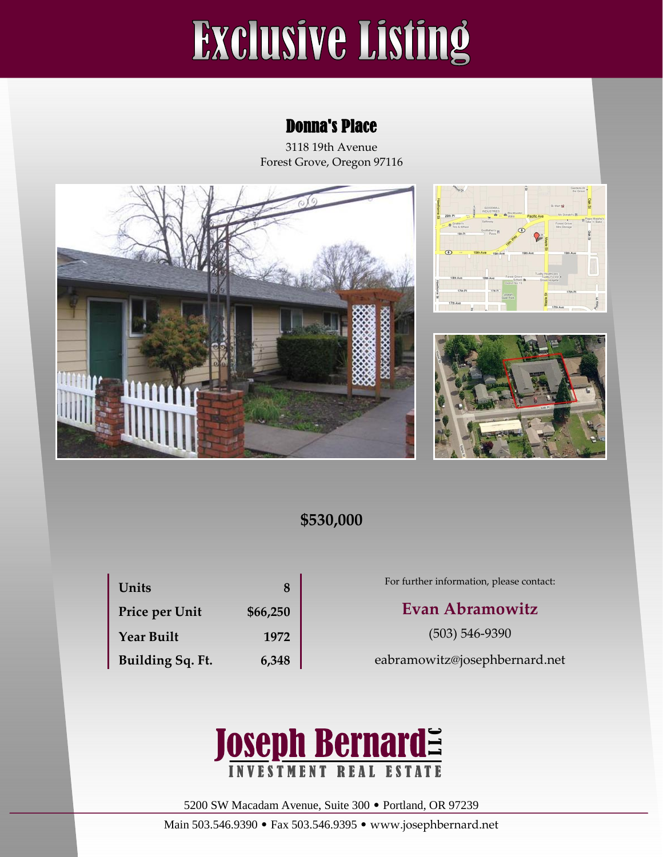# **Exclusive Listing**

## Donna's Place

3118 19th Avenue Forest Grove, Oregon 97116







# **\$530,000**

| Units             | 8        |
|-------------------|----------|
| Price per Unit    | \$66,250 |
| <b>Year Built</b> | 1972     |
| Building Sq. Ft.  | 6,348    |

For further information, please contact:

### **Evan Abramowitz**

(503) 546-9390

eabramowitz@josephbernard.net



5200 SW Macadam Avenue, Suite 300 • Portland, OR 97239

Main 503.546.9390 • Fax 503.546.9395 • www.josephbernard.net